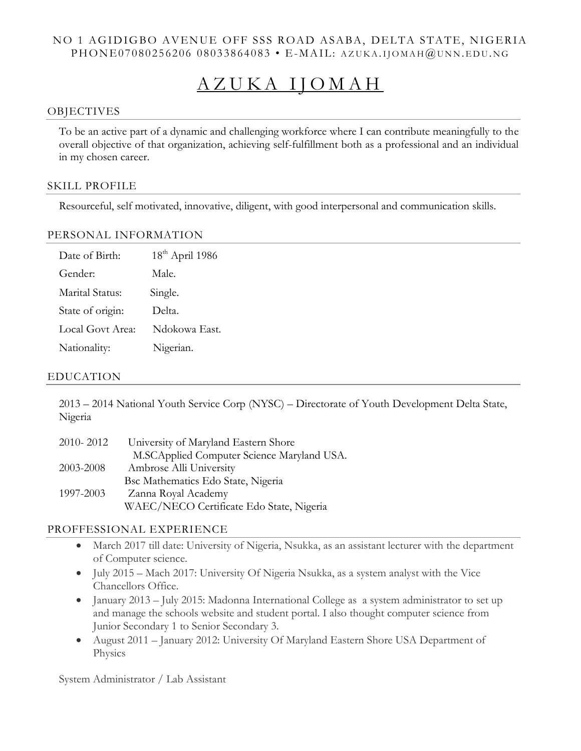## NO 1 AGIDIGBO AVENUE OFF SSS ROAD ASABA, DELTA STATE, NIGERIA PHONE07080256206 08033864083 • E-MAIL: AZUKA.IJOMAH@UNN.EDU.NG

# A Z U K A I J O M A H

### **OBJECTIVES**

To be an active part of a dynamic and challenging workforce where I can contribute meaningfully to the overall objective of that organization, achieving self-fulfillment both as a professional and an individual in my chosen career.

#### SKILL PROFILE

Resourceful, self motivated, innovative, diligent, with good interpersonal and communication skills.

### PERSONAL INFORMATION

| Date of Birth:   | $18th$ April 1986 |
|------------------|-------------------|
| Gender:          | Male.             |
| Marital Status:  | Single.           |
| State of origin: | Delta.            |
| Local Govt Area: | Ndokowa East.     |
| Nationality:     | Nigerian.         |

### EDUCATION

2013 – 2014 National Youth Service Corp (NYSC) – Directorate of Youth Development Delta State, Nigeria

| 2010-2012 | University of Maryland Eastern Shore       |
|-----------|--------------------------------------------|
|           | M.SCApplied Computer Science Maryland USA. |
| 2003-2008 | Ambrose Alli University                    |
|           | Bsc Mathematics Edo State, Nigeria         |
| 1997-2003 | Zanna Royal Academy                        |
|           | WAEC/NECO Certificate Edo State, Nigeria   |

### PROFFESSIONAL EXPERIENCE

- March 2017 till date: University of Nigeria, Nsukka, as an assistant lecturer with the department of Computer science.
- July 2015 Mach 2017: University Of Nigeria Nsukka, as a system analyst with the Vice Chancellors Office.
- January 2013 July 2015: Madonna International College as a system administrator to set up and manage the schools website and student portal. I also thought computer science from Junior Secondary 1 to Senior Secondary 3.
- August 2011 January 2012: University Of Maryland Eastern Shore USA Department of **Physics**

System Administrator / Lab Assistant